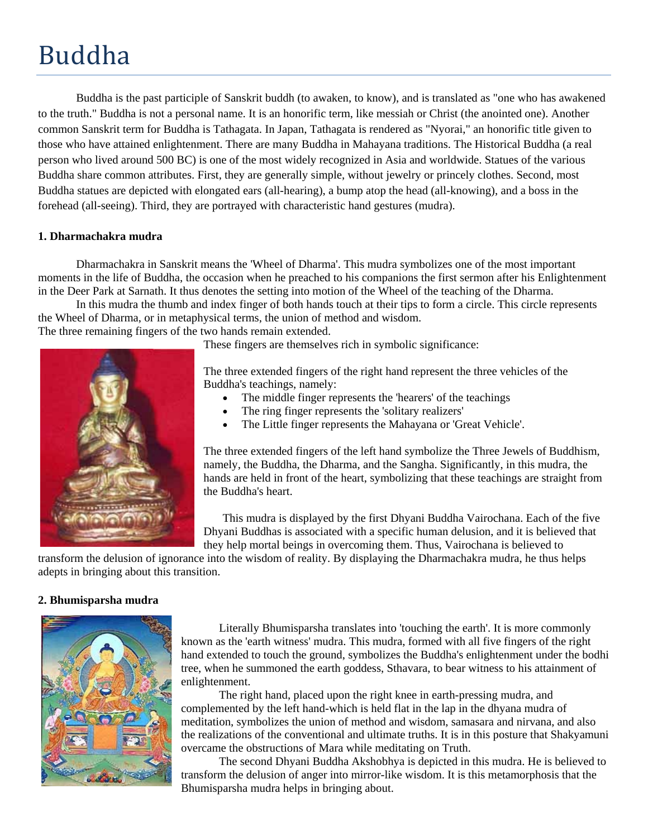# Buddha

Buddha is the past participle of Sanskrit buddh (to awaken, to know), and is translated as "one who has awakened to the truth." Buddha is not a personal name. It is an honorific term, like messiah or Christ (the anointed one). Another common Sanskrit term for Buddha is Tathagata. In Japan, Tathagata is rendered as "Nyorai," an honorific title given to those who have attained enlightenment. There are many Buddha in Mahayana traditions. Th[e Historical Buddha](http://www.buddhist-artwork.com/statues-buddhism/shaka-nyorai-historical-buddha-statuary.html) (a real person who lived around 500 BC) is one of the most widely recognized in Asia and worldwide. Statues of the various Buddha share common attributes. First, they are generally simple, without jewelry or princely clothes. Second, most Buddha statues are depicted with elongated ears (all-hearing), a bump atop the head (all-knowing), and a boss in the forehead (all-seeing). Third, they are portrayed with characteristic hand gestures (mudra).

## **1. Dharmachakra mudra**

Dharmachakra in Sanskrit means the 'Wheel of Dharma'. This mudra symbolizes one of the most important moments in the life of Buddha, the occasion when he preached to his companions the first sermon after his Enlightenment in the Deer Park at Sarnath. It thus denotes the setting into motion of the Wheel of the teaching of the Dharma.

In this mudra the thumb and index finger of both hands touch at their tips to form a circle. This circle represents the Wheel of Dharma, or in metaphysical terms, the union of method and wisdom.

The three remaining fingers of the two hands remain extended.

These fingers are themselves rich in symbolic significance:



- The middle finger represents the 'hearers' of the teachings
- The ring finger represents the 'solitary realizers'
- The Little finger represents the Mahayana or 'Great Vehicle'.

The three extended fingers of the left hand symbolize the Three Jewels of Buddhism, namely, the Buddha, the Dharma, and the Sangha. Significantly, in this mudra, the hands are held in front of the heart, symbolizing that these teachings are straight from the Buddha's heart.

This mudra is displayed by the first Dhyani Buddha Vairochana. Each of the five Dhyani Buddhas is associated with a specific human delusion, and it is believed that they help mortal beings in overcoming them. Thus, Vairochana is believed to

transform the delusion of ignorance into the wisdom of reality. By displaying the Dharmachakra mudra, he thus helps adepts in bringing about this transition.

#### **2. Bhumisparsha mudra**



Literally Bhumisparsha translates into 'touching the earth'. It is more commonly known as the 'earth witness' mudra. This mudra, formed with all five fingers of the right hand extended to touch the ground, symbolizes the Buddha's enlightenment under the bodhi tree, when he summoned the earth goddess, Sthavara, to bear witness to his attainment of enlightenment.

The right hand, placed upon the right knee in earth-pressing mudra, and complemented by the left hand-which is held flat in the lap in the dhyana mudra of meditation, symbolizes the union of method and wisdom, samasara and nirvana, and also the realizations of the conventional and ultimate truths. It is in this posture that Shakyamuni overcame the obstructions of Mara while meditating on Truth.

The second Dhyani Buddha Akshobhya is depicted in this mudra. He is believed to transform the delusion of anger into mirror-like wisdom. It is this metamorphosis that the Bhumisparsha mudra helps in bringing about.

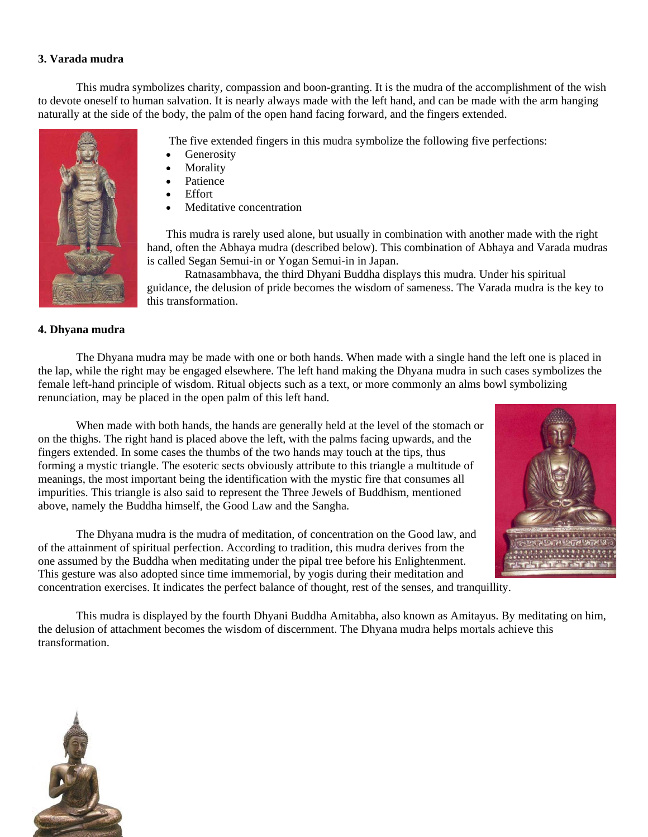#### **3. Varada mudra**

This mudra symbolizes charity, compassion and boon-granting. It is the mudra of the accomplishment of the wish to devote oneself to human salvation. It is nearly always made with the left hand, and can be made with the arm hanging naturally at the side of the body, the palm of the open hand facing forward, and the fingers extended.



The five extended fingers in this mudra symbolize the following five perfections:

- Generosity
- **Morality**
- Patience
- Effort
- Meditative concentration

This mudra is rarely used alone, but usually in combination with another made with the right hand, often the Abhaya mudra (described below). This combination of Abhaya and Varada mudras is called Segan Semui-in or Yogan Semui-in in Japan.

Ratnasambhava, the third Dhyani Buddha displays this mudra. Under his spiritual guidance, the delusion of pride becomes the wisdom of sameness. The Varada mudra is the key to this transformation.

#### **4. Dhyana mudra**

The Dhyana mudra may be made with one or both hands. When made with a single hand the left one is placed in the lap, while the right may be engaged elsewhere. The left hand making the Dhyana mudra in such cases symbolizes the female left-hand principle of wisdom. Ritual objects such as a text, or more commonly an alms bowl symbolizing renunciation, may be placed in the open palm of this left hand.

When made with both hands, the hands are generally held at the level of the stomach or on the thighs. The right hand is placed above the left, with the palms facing upwards, and the fingers extended. In some cases the thumbs of the two hands may touch at the tips, thus forming a mystic triangle. The esoteric sects obviously attribute to this triangle a multitude of meanings, the most important being the identification with the mystic fire that consumes all impurities. This triangle is also said to represent the Three Jewels of Buddhism, mentioned above, namely the Buddha himself, the Good Law and the Sangha.

The Dhyana mudra is the mudra of meditation, of concentration on the Good law, and of the attainment of spiritual perfection. According to tradition, this mudra derives from the one assumed by the Buddha when meditating under the pipal tree before his Enlightenment. This gesture was also adopted since time immemorial, by yogis during their meditation and concentration exercises. It indicates the perfect balance of thought, rest of the senses, and tranquillity.



This mudra is displayed by the fourth Dhyani Buddha Amitabha, also known as Amitayus. By meditating on him, the delusion of attachment becomes the wisdom of discernment. The Dhyana mudra helps mortals achieve this transformation.

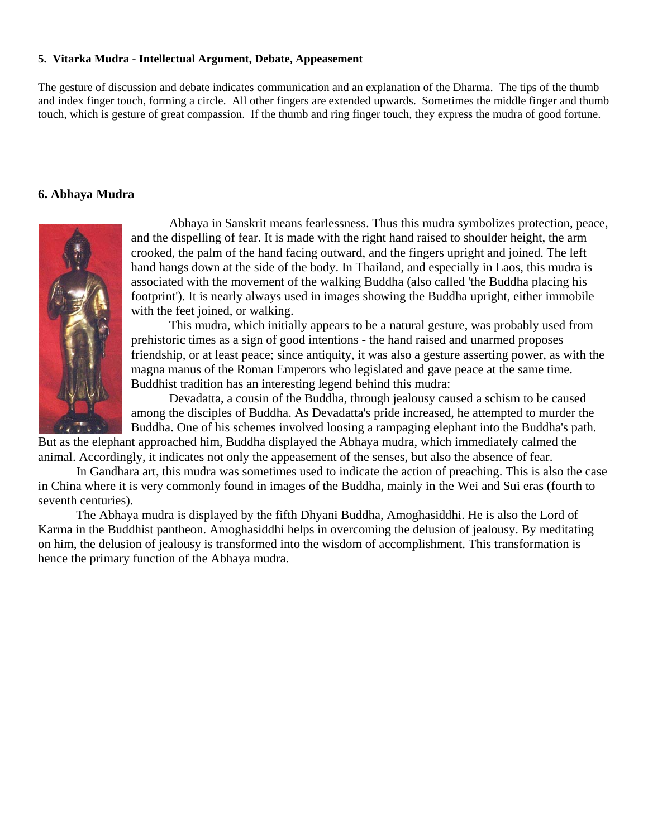## **5. Vitarka Mudra - Intellectual Argument, Debate, Appeasement**

The gesture of discussion and debate indicates communication and an explanation of the Dharma. The tips of the thumb and index finger touch, forming a circle. All other fingers are extended upwards. Sometimes the middle finger and thumb touch, which is gesture of great compassion. If the thumb and ring finger touch, they express the mudra of good fortune.

# **6. Abhaya Mudra**



Abhaya in Sanskrit means fearlessness. Thus this mudra symbolizes protection, peace, and the dispelling of fear. It is made with the right hand raised to shoulder height, the arm crooked, the palm of the hand facing outward, and the fingers upright and joined. The left hand hangs down at the side of the body. In Thailand, and especially in Laos, this mudra is associated with the movement of the walking Buddha (also called 'the Buddha placing his footprint'). It is nearly always used in images showing the Buddha upright, either immobile with the feet joined, or walking.

This mudra, which initially appears to be a natural gesture, was probably used from prehistoric times as a sign of good intentions - the hand raised and unarmed proposes friendship, or at least peace; since antiquity, it was also a gesture asserting power, as with the magna manus of the Roman Emperors who legislated and gave peace at the same time. Buddhist tradition has an interesting legend behind this mudra:

Devadatta, a cousin of the Buddha, through jealousy caused a schism to be caused among the disciples of Buddha. As Devadatta's pride increased, he attempted to murder the Buddha. One of his schemes involved loosing a rampaging elephant into the Buddha's path.

But as the elephant approached him, Buddha displayed the Abhaya mudra, which immediately calmed the animal. Accordingly, it indicates not only the appeasement of the senses, but also the absence of fear.

In Gandhara art, this mudra was sometimes used to indicate the action of preaching. This is also the case in China where it is very commonly found in images of the Buddha, mainly in the Wei and Sui eras (fourth to seventh centuries).

The Abhaya mudra is displayed by the fifth Dhyani Buddha, Amoghasiddhi. He is also the Lord of Karma in the Buddhist pantheon. Amoghasiddhi helps in overcoming the delusion of jealousy. By meditating on him, the delusion of jealousy is transformed into the wisdom of accomplishment. This transformation is hence the primary function of the Abhaya mudra.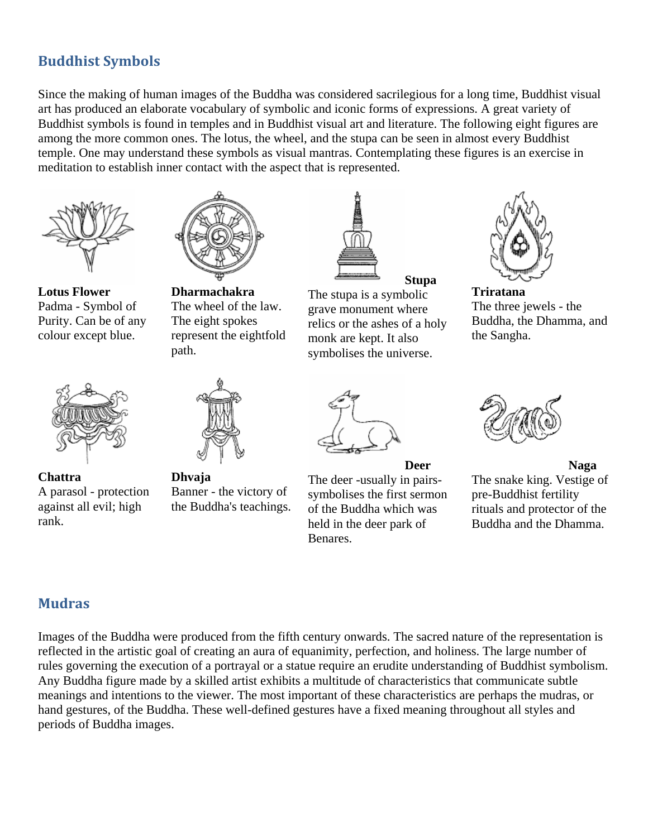# **Buddhist Symbols**

Since the making of human images of the Buddha was considered sacrilegious for a long time, Buddhist visual art has produced an elaborate vocabulary of symbolic and iconic forms of expressions. A great variety of Buddhist symbols is found in temples and in Buddhist visual art and literature. The following eight figures are among the more common ones. The lotus, the wheel, and the stupa can be seen in almost every Buddhist temple. One may understand these symbols as visual mantras. Contemplating these figures is an exercise in meditation to establish inner contact with the aspect that is represented.



**Lotus Flower** Padma - Symbol of Purity. Can be of any colour except blue.



**Chattra** A parasol - protection against all evil; high rank.



**Dharmachakra** The wheel of the law. The eight spokes represent the eightfold path.

Banner - the victory of the Buddha's teachings.

**Dhvaja**



**Stupa** The stupa is a symbolic grave monument where relics or the ashes of a holy monk are kept. It also symbolises the universe.



**Triratana** The three jewels - the Buddha, the Dhamma, and the Sangha.



**Deer**

The deer -usually in pairssymbolises the first sermon of the Buddha which was held in the deer park of Benares.



**Naga** The snake king. Vestige of pre-Buddhist fertility rituals and protector of the Buddha and the Dhamma.

# **Mudras**

Images of the Buddha were produced from the fifth century onwards. The sacred nature of the representation is reflected in the artistic goal of creating an aura of equanimity, perfection, and holiness. The large number of rules governing the execution of a portrayal or a statue require an erudite understanding of Buddhist symbolism. Any Buddha figure made by a skilled artist exhibits a multitude of characteristics that communicate subtle meanings and intentions to the viewer. The most important of these characteristics are perhaps the mudras, or hand gestures, of the Buddha. These well-defined gestures have a fixed meaning throughout all styles and periods of Buddha images.